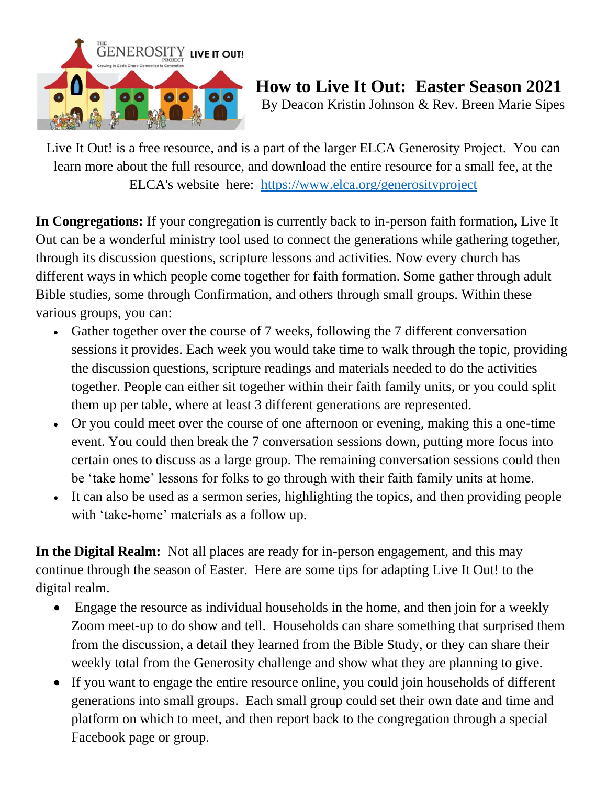

## **How to Live It Out: Easter Season 2021** By Deacon Kristin Johnson & Rev. Breen Marie Sipes

Live It Out! is a free resource, and is a part of the larger ELCA Generosity Project. You can learn more about the full resource, and download the entire resource for a small fee, at the ELCA's website here: <https://www.elca.org/generosityproject>

**In Congregations:** If your congregation is currently back to in-person faith formation**,** Live It Out can be a wonderful ministry tool used to connect the generations while gathering together, through its discussion questions, scripture lessons and activities. Now every church has different ways in which people come together for faith formation. Some gather through adult Bible studies, some through Confirmation, and others through small groups. Within these various groups, you can:

- Gather together over the course of 7 weeks, following the 7 different conversation sessions it provides. Each week you would take time to walk through the topic, providing the discussion questions, scripture readings and materials needed to do the activities together. People can either sit together within their faith family units, or you could split them up per table, where at least 3 different generations are represented.
- Or you could meet over the course of one afternoon or evening, making this a one-time event. You could then break the 7 conversation sessions down, putting more focus into certain ones to discuss as a large group. The remaining conversation sessions could then be 'take home' lessons for folks to go through with their faith family units at home.
- It can also be used as a sermon series, highlighting the topics, and then providing people with 'take-home' materials as a follow up.

**In the Digital Realm:** Not all places are ready for in-person engagement, and this may continue through the season of Easter. Here are some tips for adapting Live It Out! to the digital realm.

- Engage the resource as individual households in the home, and then join for a weekly Zoom meet-up to do show and tell. Households can share something that surprised them from the discussion, a detail they learned from the Bible Study, or they can share their weekly total from the Generosity challenge and show what they are planning to give.
- If you want to engage the entire resource online, you could join households of different generations into small groups. Each small group could set their own date and time and platform on which to meet, and then report back to the congregation through a special Facebook page or group.